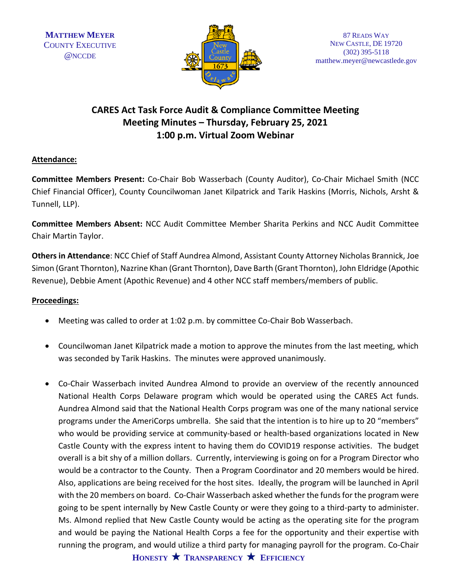

## **CARES Act Task Force Audit & Compliance Committee Meeting Meeting Minutes – Thursday, February 25, 2021 1:00 p.m. Virtual Zoom Webinar**

## **Attendance:**

**Committee Members Present:** Co-Chair Bob Wasserbach (County Auditor), Co-Chair Michael Smith (NCC Chief Financial Officer), County Councilwoman Janet Kilpatrick and Tarik Haskins (Morris, Nichols, Arsht & Tunnell, LLP).

**Committee Members Absent:** NCC Audit Committee Member Sharita Perkins and NCC Audit Committee Chair Martin Taylor.

**Others in Attendance**: NCC Chief of Staff Aundrea Almond, Assistant County Attorney Nicholas Brannick, Joe Simon (Grant Thornton), Nazrine Khan (Grant Thornton), Dave Barth (Grant Thornton), John Eldridge (Apothic Revenue), Debbie Ament (Apothic Revenue) and 4 other NCC staff members/members of public.

## **Proceedings:**

- Meeting was called to order at 1:02 p.m. by committee Co-Chair Bob Wasserbach.
- Councilwoman Janet Kilpatrick made a motion to approve the minutes from the last meeting, which was seconded by Tarik Haskins. The minutes were approved unanimously.
- Co-Chair Wasserbach invited Aundrea Almond to provide an overview of the recently announced National Health Corps Delaware program which would be operated using the CARES Act funds. Aundrea Almond said that the National Health Corps program was one of the many national service programs under the AmeriCorps umbrella. She said that the intention is to hire up to 20 "members" who would be providing service at community-based or health-based organizations located in New Castle County with the express intent to having them do COVID19 response activities. The budget overall is a bit shy of a million dollars. Currently, interviewing is going on for a Program Director who would be a contractor to the County. Then a Program Coordinator and 20 members would be hired. Also, applications are being received for the host sites. Ideally, the program will be launched in April with the 20 members on board. Co-Chair Wasserbach asked whether the funds for the program were going to be spent internally by New Castle County or were they going to a third-party to administer. Ms. Almond replied that New Castle County would be acting as the operating site for the program and would be paying the National Health Corps a fee for the opportunity and their expertise with running the program, and would utilize a third party for managing payroll for the program. Co-Chair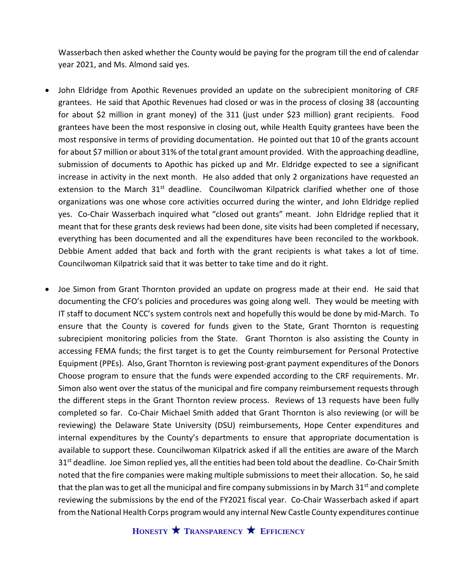Wasserbach then asked whether the County would be paying for the program till the end of calendar year 2021, and Ms. Almond said yes.

- John Eldridge from Apothic Revenues provided an update on the subrecipient monitoring of CRF grantees. He said that Apothic Revenues had closed or was in the process of closing 38 (accounting for about \$2 million in grant money) of the 311 (just under \$23 million) grant recipients. Food grantees have been the most responsive in closing out, while Health Equity grantees have been the most responsive in terms of providing documentation. He pointed out that 10 of the grants account for about \$7 million or about 31% of the total grant amount provided. With the approaching deadline, submission of documents to Apothic has picked up and Mr. Eldridge expected to see a significant increase in activity in the next month. He also added that only 2 organizations have requested an extension to the March  $31<sup>st</sup>$  deadline. Councilwoman Kilpatrick clarified whether one of those organizations was one whose core activities occurred during the winter, and John Eldridge replied yes. Co-Chair Wasserbach inquired what "closed out grants" meant. John Eldridge replied that it meant that for these grants desk reviews had been done, site visits had been completed if necessary, everything has been documented and all the expenditures have been reconciled to the workbook. Debbie Ament added that back and forth with the grant recipients is what takes a lot of time. Councilwoman Kilpatrick said that it was better to take time and do it right.
- Joe Simon from Grant Thornton provided an update on progress made at their end. He said that documenting the CFO's policies and procedures was going along well. They would be meeting with IT staff to document NCC's system controls next and hopefully this would be done by mid-March. To ensure that the County is covered for funds given to the State, Grant Thornton is requesting subrecipient monitoring policies from the State. Grant Thornton is also assisting the County in accessing FEMA funds; the first target is to get the County reimbursement for Personal Protective Equipment (PPEs). Also, Grant Thornton is reviewing post-grant payment expenditures of the Donors Choose program to ensure that the funds were expended according to the CRF requirements. Mr. Simon also went over the status of the municipal and fire company reimbursement requests through the different steps in the Grant Thornton review process. Reviews of 13 requests have been fully completed so far. Co-Chair Michael Smith added that Grant Thornton is also reviewing (or will be reviewing) the Delaware State University (DSU) reimbursements, Hope Center expenditures and internal expenditures by the County's departments to ensure that appropriate documentation is available to support these. Councilwoman Kilpatrick asked if all the entities are aware of the March  $31<sup>st</sup>$  deadline. Joe Simon replied yes, all the entities had been told about the deadline. Co-Chair Smith noted that the fire companies were making multiple submissions to meet their allocation. So, he said that the plan was to get all the municipal and fire company submissions in by March  $31^{st}$  and complete reviewing the submissions by the end of the FY2021 fiscal year. Co-Chair Wasserbach asked if apart from the National Health Corps program would any internal New Castle County expenditures continue

**HONESTY TRANSPARENCY EFFICIENCY**